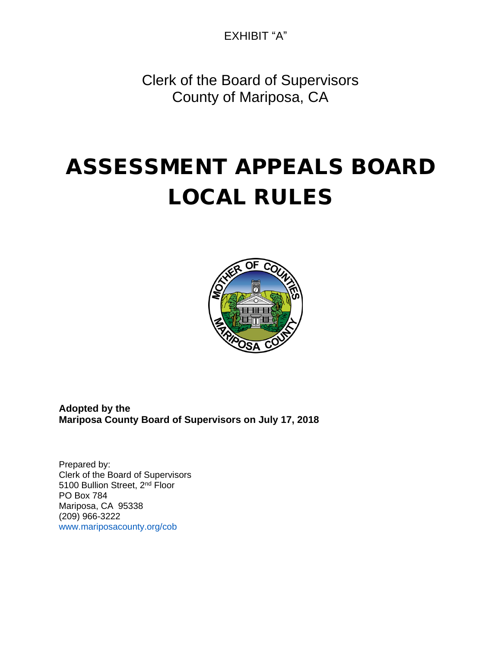EXHIBIT "A"

Clerk of the Board of Supervisors County of Mariposa, CA

# **ASSESSMENT APPEALS BOARD LOCAL RULES**



**Adopted by the Mariposa County Board of Supervisors on July 17, 2018**

Prepared by: Clerk of the Board of Supervisors 5100 Bullion Street, 2nd Floor PO Box 784 Mariposa, CA 95338 (209) 966-3222 www.mariposacounty.org/cob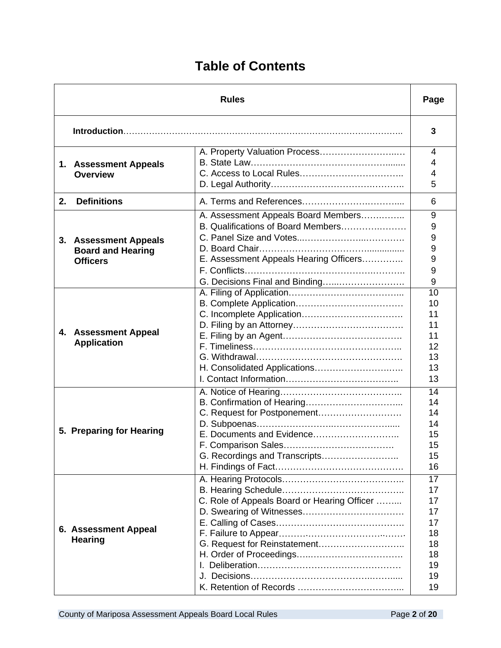### **Table of Contents**

| <b>Rules</b> |                                                                      | Page                                                                                                                                                  |                                                                |
|--------------|----------------------------------------------------------------------|-------------------------------------------------------------------------------------------------------------------------------------------------------|----------------------------------------------------------------|
|              |                                                                      |                                                                                                                                                       | 3                                                              |
|              | 1. Assessment Appeals<br><b>Overview</b>                             | A. Property Valuation Process                                                                                                                         | 4<br>4<br>4<br>5                                               |
| $2_{-}$      | <b>Definitions</b>                                                   |                                                                                                                                                       | 6                                                              |
|              | 3. Assessment Appeals<br><b>Board and Hearing</b><br><b>Officers</b> | A. Assessment Appeals Board Members<br>B. Qualifications of Board Members<br>E. Assessment Appeals Hearing Officers<br>G. Decisions Final and Binding | 9<br>9<br>9<br>9<br>9<br>9<br>9                                |
|              | 4. Assessment Appeal<br><b>Application</b>                           |                                                                                                                                                       | 10<br>10<br>11<br>11<br>11<br>12<br>13<br>13<br>13             |
|              | 5. Preparing for Hearing                                             | G. Recordings and Transcripts                                                                                                                         | 14<br>14<br>14<br>14<br>15<br>15<br>15<br>16                   |
|              | 6. Assessment Appeal<br><b>Hearing</b>                               | C. Role of Appeals Board or Hearing Officer<br>G. Request for Reinstatement                                                                           | 17<br>17<br>17<br>17<br>17<br>18<br>18<br>18<br>19<br>19<br>19 |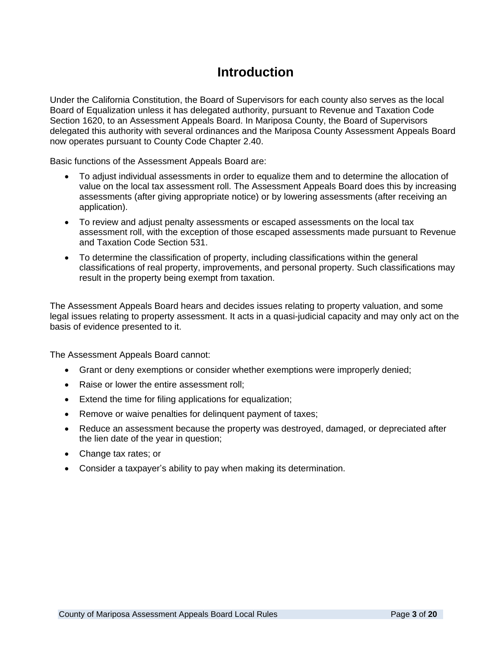#### **Introduction**

Under the California Constitution, the Board of Supervisors for each county also serves as the local Board of Equalization unless it has delegated authority, pursuant to Revenue and Taxation Code Section 1620, to an Assessment Appeals Board. In Mariposa County, the Board of Supervisors delegated this authority with several ordinances and the Mariposa County Assessment Appeals Board now operates pursuant to County Code Chapter 2.40.

Basic functions of the Assessment Appeals Board are:

- To adjust individual assessments in order to equalize them and to determine the allocation of value on the local tax assessment roll. The Assessment Appeals Board does this by increasing assessments (after giving appropriate notice) or by lowering assessments (after receiving an application).
- To review and adjust penalty assessments or escaped assessments on the local tax assessment roll, with the exception of those escaped assessments made pursuant to Revenue and Taxation Code Section 531.
- To determine the classification of property, including classifications within the general classifications of real property, improvements, and personal property. Such classifications may result in the property being exempt from taxation.

The Assessment Appeals Board hears and decides issues relating to property valuation, and some legal issues relating to property assessment. It acts in a quasi-judicial capacity and may only act on the basis of evidence presented to it.

The Assessment Appeals Board cannot:

- Grant or deny exemptions or consider whether exemptions were improperly denied;
- Raise or lower the entire assessment roll;
- Extend the time for filing applications for equalization;
- Remove or waive penalties for delinquent payment of taxes;
- Reduce an assessment because the property was destroyed, damaged, or depreciated after the lien date of the year in question;
- Change tax rates; or
- Consider a taxpayer's ability to pay when making its determination.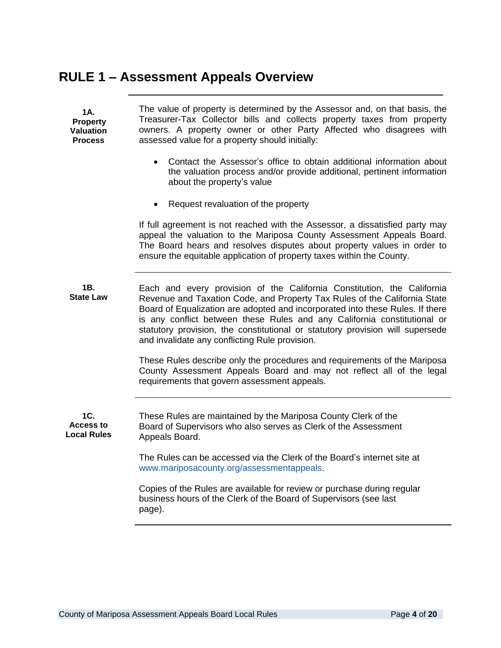### **RULE 1 – Assessment Appeals Overview**

| 1A.<br><b>Property</b><br><b>Valuation</b><br><b>Process</b> | The value of property is determined by the Assessor and, on that basis, the<br>Treasurer-Tax Collector bills and collects property taxes from property<br>owners. A property owner or other Party Affected who disagrees with<br>assessed value for a property should initially:                                                                                                                                                                     |
|--------------------------------------------------------------|------------------------------------------------------------------------------------------------------------------------------------------------------------------------------------------------------------------------------------------------------------------------------------------------------------------------------------------------------------------------------------------------------------------------------------------------------|
|                                                              | Contact the Assessor's office to obtain additional information about<br>the valuation process and/or provide additional, pertinent information<br>about the property's value                                                                                                                                                                                                                                                                         |
|                                                              | Request revaluation of the property<br>$\bullet$                                                                                                                                                                                                                                                                                                                                                                                                     |
|                                                              | If full agreement is not reached with the Assessor, a dissatisfied party may<br>appeal the valuation to the Mariposa County Assessment Appeals Board.<br>The Board hears and resolves disputes about property values in order to<br>ensure the equitable application of property taxes within the County.                                                                                                                                            |
| 1B.<br><b>State Law</b>                                      | Each and every provision of the California Constitution, the California<br>Revenue and Taxation Code, and Property Tax Rules of the California State<br>Board of Equalization are adopted and incorporated into these Rules. If there<br>is any conflict between these Rules and any California constitutional or<br>statutory provision, the constitutional or statutory provision will supersede<br>and invalidate any conflicting Rule provision. |
|                                                              | These Rules describe only the procedures and requirements of the Mariposa<br>County Assessment Appeals Board and may not reflect all of the legal<br>requirements that govern assessment appeals.                                                                                                                                                                                                                                                    |
| 1C.<br>Access to<br><b>Local Rules</b>                       | These Rules are maintained by the Mariposa County Clerk of the<br>Board of Supervisors who also serves as Clerk of the Assessment<br>Appeals Board.                                                                                                                                                                                                                                                                                                  |
|                                                              | The Rules can be accessed via the Clerk of the Board's internet site at<br>www.mariposacounty.org/assessmentappeals.                                                                                                                                                                                                                                                                                                                                 |
|                                                              | Copies of the Rules are available for review or purchase during regular<br>business hours of the Clerk of the Board of Supervisors (see last<br>page).                                                                                                                                                                                                                                                                                               |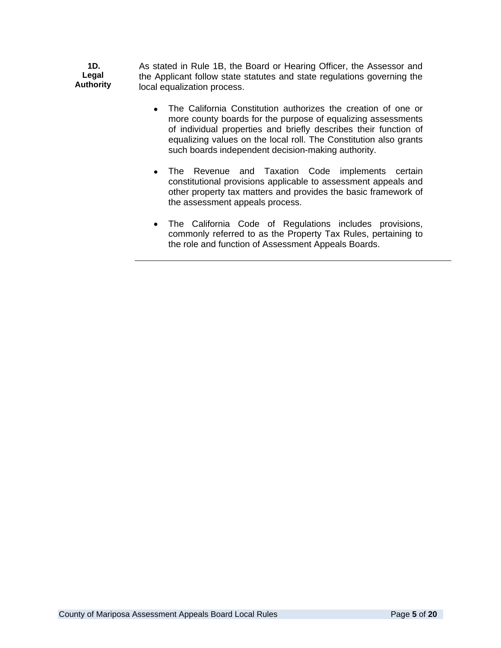**1D. Legal Authority** As stated in Rule 1B, the Board or Hearing Officer, the Assessor and the Applicant follow state statutes and state regulations governing the local equalization process.

- The California Constitution authorizes the creation of one or more county boards for the purpose of equalizing assessments of individual properties and briefly describes their function of equalizing values on the local roll. The Constitution also grants such boards independent decision-making authority.
- The Revenue and Taxation Code implements certain constitutional provisions applicable to assessment appeals and other property tax matters and provides the basic framework of the assessment appeals process.
- The California Code of Regulations includes provisions, commonly referred to as the Property Tax Rules, pertaining to the role and function of Assessment Appeals Boards.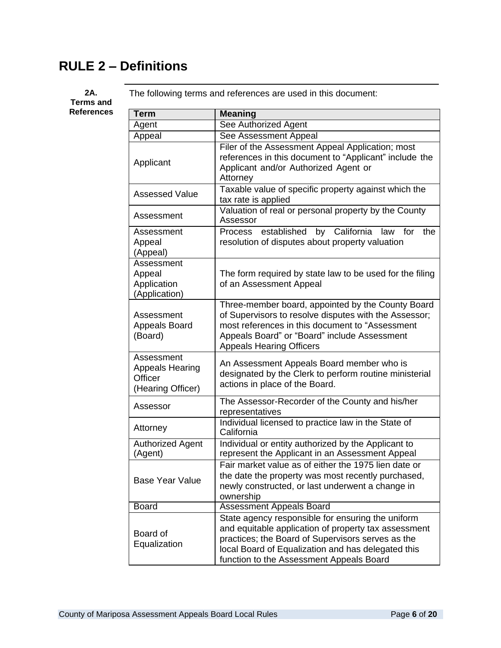# **RULE 2 – Definitions**

#### **2A. Terms and**  $Ref$ erences

The following terms and references are used in this document:

| <b>Term</b>                                                          | <b>Meaning</b>                                                                                                                                                                                                                                                   |
|----------------------------------------------------------------------|------------------------------------------------------------------------------------------------------------------------------------------------------------------------------------------------------------------------------------------------------------------|
| Agent                                                                | See Authorized Agent                                                                                                                                                                                                                                             |
| Appeal                                                               | See Assessment Appeal                                                                                                                                                                                                                                            |
| Applicant                                                            | Filer of the Assessment Appeal Application; most<br>references in this document to "Applicant" include the<br>Applicant and/or Authorized Agent or<br>Attorney                                                                                                   |
| <b>Assessed Value</b>                                                | Taxable value of specific property against which the<br>tax rate is applied                                                                                                                                                                                      |
| Assessment                                                           | Valuation of real or personal property by the County<br>Assessor                                                                                                                                                                                                 |
| Assessment<br>Appeal<br>(Appeal)                                     | by California law for<br>established<br>the<br><b>Process</b><br>resolution of disputes about property valuation                                                                                                                                                 |
| Assessment<br>Appeal<br>Application<br>(Application)                 | The form required by state law to be used for the filing<br>of an Assessment Appeal                                                                                                                                                                              |
| Assessment<br><b>Appeals Board</b><br>(Board)                        | Three-member board, appointed by the County Board<br>of Supervisors to resolve disputes with the Assessor;<br>most references in this document to "Assessment<br>Appeals Board" or "Board" include Assessment<br><b>Appeals Hearing Officers</b>                 |
| Assessment<br><b>Appeals Hearing</b><br>Officer<br>(Hearing Officer) | An Assessment Appeals Board member who is<br>designated by the Clerk to perform routine ministerial<br>actions in place of the Board.                                                                                                                            |
| Assessor                                                             | The Assessor-Recorder of the County and his/her<br>representatives                                                                                                                                                                                               |
| Attorney                                                             | Individual licensed to practice law in the State of<br>California                                                                                                                                                                                                |
| <b>Authorized Agent</b><br>(Agent)                                   | Individual or entity authorized by the Applicant to<br>represent the Applicant in an Assessment Appeal                                                                                                                                                           |
| <b>Base Year Value</b>                                               | Fair market value as of either the 1975 lien date or<br>the date the property was most recently purchased,<br>newly constructed, or last underwent a change in<br>ownership                                                                                      |
| <b>Board</b>                                                         | <b>Assessment Appeals Board</b>                                                                                                                                                                                                                                  |
| Board of<br>Equalization                                             | State agency responsible for ensuring the uniform<br>and equitable application of property tax assessment<br>practices; the Board of Supervisors serves as the<br>local Board of Equalization and has delegated this<br>function to the Assessment Appeals Board |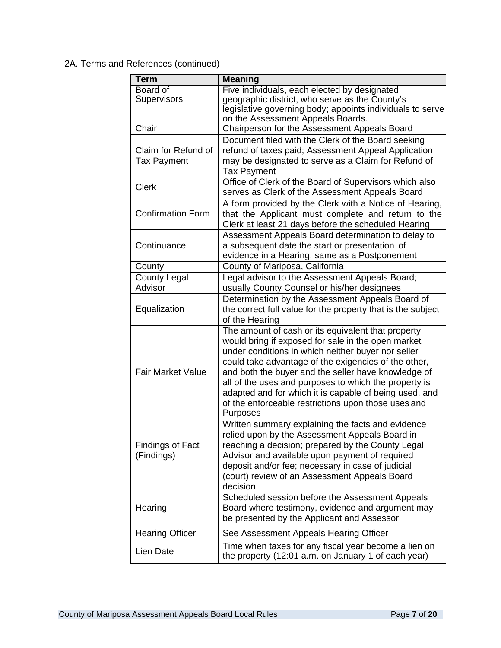#### 2A. Terms and References (continued)

| <b>Term</b>              | <b>Meaning</b>                                                                                            |
|--------------------------|-----------------------------------------------------------------------------------------------------------|
| Board of                 | Five individuals, each elected by designated                                                              |
| Supervisors              | geographic district, who serve as the County's                                                            |
|                          | legislative governing body; appoints individuals to serve                                                 |
|                          | on the Assessment Appeals Boards.                                                                         |
| Chair                    | Chairperson for the Assessment Appeals Board                                                              |
|                          | Document filed with the Clerk of the Board seeking                                                        |
| Claim for Refund of      | refund of taxes paid; Assessment Appeal Application                                                       |
| <b>Tax Payment</b>       | may be designated to serve as a Claim for Refund of                                                       |
|                          | <b>Tax Payment</b>                                                                                        |
| <b>Clerk</b>             | Office of Clerk of the Board of Supervisors which also<br>serves as Clerk of the Assessment Appeals Board |
|                          | A form provided by the Clerk with a Notice of Hearing,                                                    |
| <b>Confirmation Form</b> | that the Applicant must complete and return to the                                                        |
|                          | Clerk at least 21 days before the scheduled Hearing                                                       |
|                          | Assessment Appeals Board determination to delay to                                                        |
| Continuance              | a subsequent date the start or presentation of                                                            |
|                          | evidence in a Hearing; same as a Postponement                                                             |
| County                   | County of Mariposa, California                                                                            |
| <b>County Legal</b>      | Legal advisor to the Assessment Appeals Board;                                                            |
| Advisor                  | usually County Counsel or his/her designees                                                               |
|                          | Determination by the Assessment Appeals Board of                                                          |
| Equalization             | the correct full value for the property that is the subject                                               |
|                          | of the Hearing                                                                                            |
|                          | The amount of cash or its equivalent that property                                                        |
|                          | would bring if exposed for sale in the open market                                                        |
|                          | under conditions in which neither buyer nor seller                                                        |
|                          | could take advantage of the exigencies of the other,                                                      |
| <b>Fair Market Value</b> | and both the buyer and the seller have knowledge of                                                       |
|                          | all of the uses and purposes to which the property is                                                     |
|                          | adapted and for which it is capable of being used, and                                                    |
|                          | of the enforceable restrictions upon those uses and                                                       |
|                          | Purposes                                                                                                  |
|                          | Written summary explaining the facts and evidence                                                         |
|                          | relied upon by the Assessment Appeals Board in                                                            |
| Findings of Fact         | reaching a decision; prepared by the County Legal                                                         |
| (Findings)               | Advisor and available upon payment of required                                                            |
|                          | deposit and/or fee; necessary in case of judicial                                                         |
|                          | (court) review of an Assessment Appeals Board                                                             |
|                          | decision                                                                                                  |
|                          | Scheduled session before the Assessment Appeals                                                           |
| Hearing                  | Board where testimony, evidence and argument may                                                          |
|                          | be presented by the Applicant and Assessor                                                                |
| <b>Hearing Officer</b>   | See Assessment Appeals Hearing Officer                                                                    |
| Lien Date                | Time when taxes for any fiscal year become a lien on                                                      |
|                          | the property (12:01 a.m. on January 1 of each year)                                                       |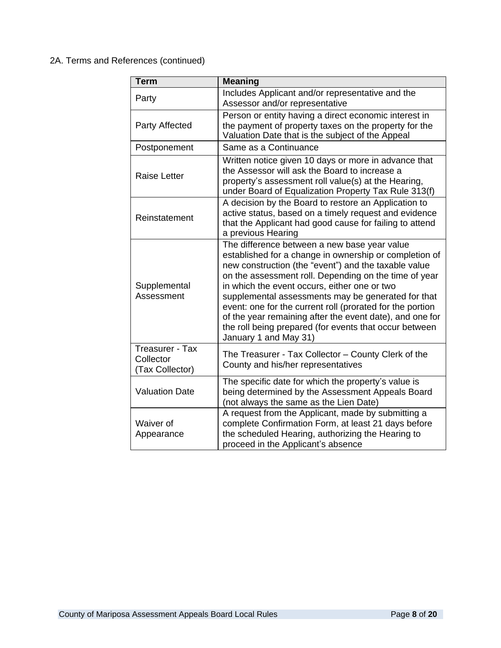#### 2A. Terms and References (continued)

| <b>Term</b>                                     | <b>Meaning</b>                                                                                                                                                                                                                                                                                                                                                                                                                                                                                                                            |
|-------------------------------------------------|-------------------------------------------------------------------------------------------------------------------------------------------------------------------------------------------------------------------------------------------------------------------------------------------------------------------------------------------------------------------------------------------------------------------------------------------------------------------------------------------------------------------------------------------|
| Party                                           | Includes Applicant and/or representative and the<br>Assessor and/or representative                                                                                                                                                                                                                                                                                                                                                                                                                                                        |
| Party Affected                                  | Person or entity having a direct economic interest in<br>the payment of property taxes on the property for the<br>Valuation Date that is the subject of the Appeal                                                                                                                                                                                                                                                                                                                                                                        |
| Postponement                                    | Same as a Continuance                                                                                                                                                                                                                                                                                                                                                                                                                                                                                                                     |
| <b>Raise Letter</b>                             | Written notice given 10 days or more in advance that<br>the Assessor will ask the Board to increase a<br>property's assessment roll value(s) at the Hearing,<br>under Board of Equalization Property Tax Rule 313(f)                                                                                                                                                                                                                                                                                                                      |
| Reinstatement                                   | A decision by the Board to restore an Application to<br>active status, based on a timely request and evidence<br>that the Applicant had good cause for failing to attend<br>a previous Hearing                                                                                                                                                                                                                                                                                                                                            |
| Supplemental<br>Assessment                      | The difference between a new base year value<br>established for a change in ownership or completion of<br>new construction (the "event") and the taxable value<br>on the assessment roll. Depending on the time of year<br>in which the event occurs, either one or two<br>supplemental assessments may be generated for that<br>event: one for the current roll (prorated for the portion<br>of the year remaining after the event date), and one for<br>the roll being prepared (for events that occur between<br>January 1 and May 31) |
| Treasurer - Tax<br>Collector<br>(Tax Collector) | The Treasurer - Tax Collector - County Clerk of the<br>County and his/her representatives                                                                                                                                                                                                                                                                                                                                                                                                                                                 |
| <b>Valuation Date</b>                           | The specific date for which the property's value is<br>being determined by the Assessment Appeals Board<br>(not always the same as the Lien Date)                                                                                                                                                                                                                                                                                                                                                                                         |
| Waiver of<br>Appearance                         | A request from the Applicant, made by submitting a<br>complete Confirmation Form, at least 21 days before<br>the scheduled Hearing, authorizing the Hearing to<br>proceed in the Applicant's absence                                                                                                                                                                                                                                                                                                                                      |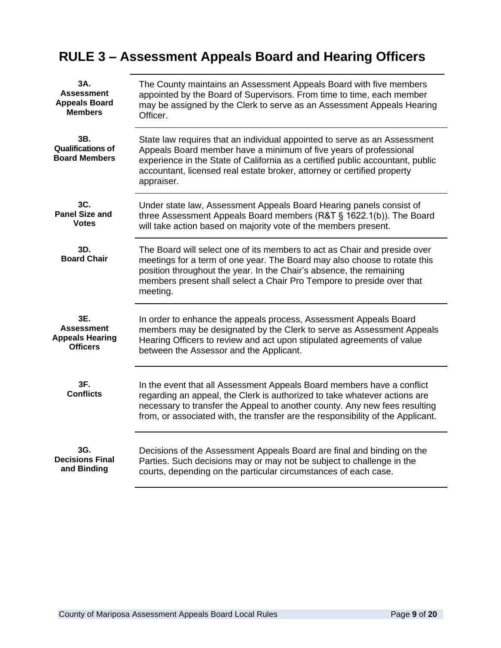### **RULE 3 – Assessment Appeals Board and Hearing Officers**

| 3A.                                                     | The County maintains an Assessment Appeals Board with five members                                                                                                                                                                                                                                                        |
|---------------------------------------------------------|---------------------------------------------------------------------------------------------------------------------------------------------------------------------------------------------------------------------------------------------------------------------------------------------------------------------------|
| <b>Assessment</b>                                       | appointed by the Board of Supervisors. From time to time, each member                                                                                                                                                                                                                                                     |
| <b>Appeals Board</b>                                    | may be assigned by the Clerk to serve as an Assessment Appeals Hearing                                                                                                                                                                                                                                                    |
| <b>Members</b>                                          | Officer.                                                                                                                                                                                                                                                                                                                  |
| 3B.<br><b>Qualifications of</b><br><b>Board Members</b> | State law requires that an individual appointed to serve as an Assessment<br>Appeals Board member have a minimum of five years of professional<br>experience in the State of California as a certified public accountant, public<br>accountant, licensed real estate broker, attorney or certified property<br>appraiser. |
| 3C.                                                     | Under state law, Assessment Appeals Board Hearing panels consist of                                                                                                                                                                                                                                                       |
| <b>Panel Size and</b>                                   | three Assessment Appeals Board members (R&T § 1622.1(b)). The Board                                                                                                                                                                                                                                                       |
| <b>Votes</b>                                            | will take action based on majority vote of the members present.                                                                                                                                                                                                                                                           |
| 3D.<br><b>Board Chair</b>                               | The Board will select one of its members to act as Chair and preside over<br>meetings for a term of one year. The Board may also choose to rotate this<br>position throughout the year. In the Chair's absence, the remaining<br>members present shall select a Chair Pro Tempore to preside over that<br>meeting.        |
| 3E.                                                     | In order to enhance the appeals process, Assessment Appeals Board                                                                                                                                                                                                                                                         |
| <b>Assessment</b>                                       | members may be designated by the Clerk to serve as Assessment Appeals                                                                                                                                                                                                                                                     |
| <b>Appeals Hearing</b>                                  | Hearing Officers to review and act upon stipulated agreements of value                                                                                                                                                                                                                                                    |
| <b>Officers</b>                                         | between the Assessor and the Applicant.                                                                                                                                                                                                                                                                                   |
| 3F.<br><b>Conflicts</b>                                 | In the event that all Assessment Appeals Board members have a conflict<br>regarding an appeal, the Clerk is authorized to take whatever actions are<br>necessary to transfer the Appeal to another county. Any new fees resulting<br>from, or associated with, the transfer are the responsibility of the Applicant.      |
| 3G.                                                     | Decisions of the Assessment Appeals Board are final and binding on the                                                                                                                                                                                                                                                    |
| <b>Decisions Final</b>                                  | Parties. Such decisions may or may not be subject to challenge in the                                                                                                                                                                                                                                                     |
| and Binding                                             | courts, depending on the particular circumstances of each case.                                                                                                                                                                                                                                                           |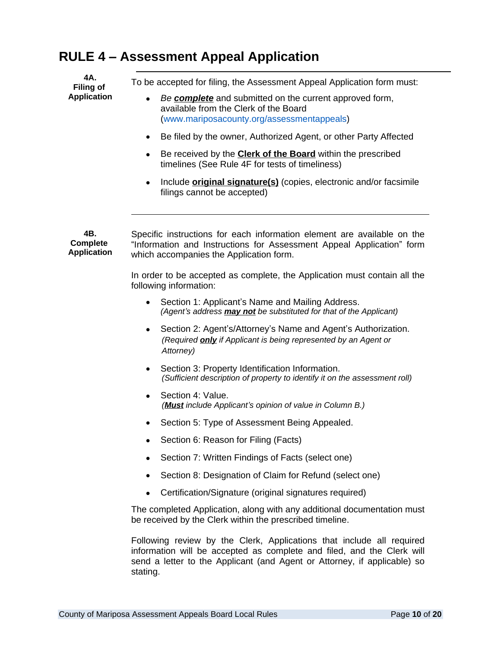#### **RULE 4 – Assessment Appeal Application**

**4A. Filing of Application**

To be accepted for filing, the Assessment Appeal Application form must:

- *Be complete* and submitted on the current approved form, available from the Clerk of the Board (www.mariposacounty.org/assessmentappeals)
- Be filed by the owner, Authorized Agent, or other Party Affected
- **Be received by the Clerk of the Board** within the prescribed timelines (See Rule 4F for tests of timeliness)
- Include **original signature(s)** (copies, electronic and/or facsimile filings cannot be accepted)

**4B. Complete Application** Specific instructions for each information element are available on the "Information and Instructions for Assessment Appeal Application" form which accompanies the Application form.

> In order to be accepted as complete, the Application must contain all the following information:

- Section 1: Applicant's Name and Mailing Address. *(Agent's address may not be substituted for that of the Applicant)*
- Section 2: Agent's/Attorney's Name and Agent's Authorization. *(Required only if Applicant is being represented by an Agent or Attorney)*
- Section 3: Property Identification Information. *(Sufficient description of property to identify it on the assessment roll)*
- Section 4: Value. *(Must include Applicant's opinion of value in Column B.)*
- Section 5: Type of Assessment Being Appealed.
- Section 6: Reason for Filing (Facts)
- Section 7: Written Findings of Facts (select one)
- Section 8: Designation of Claim for Refund (select one)
- Certification/Signature (original signatures required)

The completed Application, along with any additional documentation must be received by the Clerk within the prescribed timeline.

Following review by the Clerk, Applications that include all required information will be accepted as complete and filed, and the Clerk will send a letter to the Applicant (and Agent or Attorney, if applicable) so stating.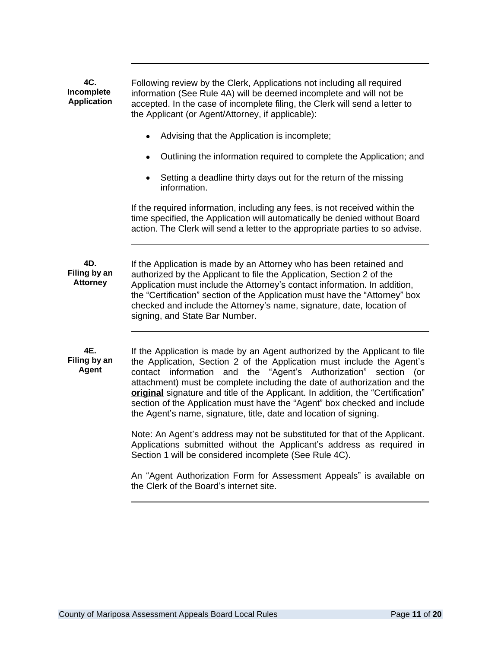**4C. Incomplete Application** Following review by the Clerk, Applications not including all required information (See Rule 4A) will be deemed incomplete and will not be accepted. In the case of incomplete filing, the Clerk will send a letter to the Applicant (or Agent/Attorney, if applicable): Advising that the Application is incomplete; Outlining the information required to complete the Application; and Setting a deadline thirty days out for the return of the missing information. If the required information, including any fees, is not received within the time specified, the Application will automatically be denied without Board action. The Clerk will send a letter to the appropriate parties to so advise. **4D. Filing by an Attorney** If the Application is made by an Attorney who has been retained and authorized by the Applicant to file the Application, Section 2 of the Application must include the Attorney's contact information. In addition, the "Certification" section of the Application must have the "Attorney" box checked and include the Attorney's name, signature, date, location of signing, and State Bar Number. **4E. Filing by an Agent** If the Application is made by an Agent authorized by the Applicant to file the Application, Section 2 of the Application must include the Agent's contact information and the "Agent's Authorization" section (or attachment) must be complete including the date of authorization and the **original** signature and title of the Applicant. In addition, the "Certification" section of the Application must have the "Agent" box checked and include the Agent's name, signature, title, date and location of signing. Note: An Agent's address may not be substituted for that of the Applicant. Applications submitted without the Applicant's address as required in Section 1 will be considered incomplete (See Rule 4C). An "Agent Authorization Form for Assessment Appeals" is available on the Clerk of the Board's internet site.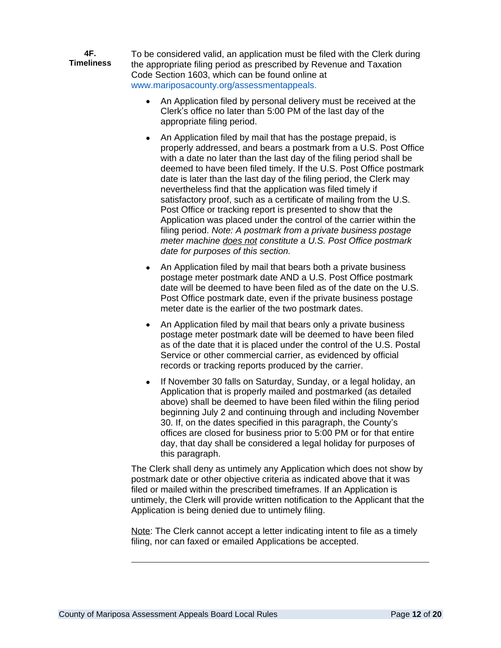**4F. Timeliness** To be considered valid, an application must be filed with the Clerk during the appropriate filing period as prescribed by Revenue and Taxation Code Section 1603, which can be found online at www.mariposacounty.org/assessmentappeals.

- An Application filed by personal delivery must be received at the Clerk's office no later than 5:00 PM of the last day of the appropriate filing period.
- An Application filed by mail that has the postage prepaid, is properly addressed, and bears a postmark from a U.S. Post Office with a date no later than the last day of the filing period shall be deemed to have been filed timely. If the U.S. Post Office postmark date is later than the last day of the filing period, the Clerk may nevertheless find that the application was filed timely if satisfactory proof, such as a certificate of mailing from the U.S. Post Office or tracking report is presented to show that the Application was placed under the control of the carrier within the filing period. *Note: A postmark from a private business postage meter machine does not constitute a U.S. Post Office postmark date for purposes of this section.*
- An Application filed by mail that bears both a private business postage meter postmark date AND a U.S. Post Office postmark date will be deemed to have been filed as of the date on the U.S. Post Office postmark date, even if the private business postage meter date is the earlier of the two postmark dates.
- An Application filed by mail that bears only a private business postage meter postmark date will be deemed to have been filed as of the date that it is placed under the control of the U.S. Postal Service or other commercial carrier, as evidenced by official records or tracking reports produced by the carrier.
- If November 30 falls on Saturday, Sunday, or a legal holiday, an Application that is properly mailed and postmarked (as detailed above) shall be deemed to have been filed within the filing period beginning July 2 and continuing through and including November 30. If, on the dates specified in this paragraph, the County's offices are closed for business prior to 5:00 PM or for that entire day, that day shall be considered a legal holiday for purposes of this paragraph.

The Clerk shall deny as untimely any Application which does not show by postmark date or other objective criteria as indicated above that it was filed or mailed within the prescribed timeframes. If an Application is untimely, the Clerk will provide written notification to the Applicant that the Application is being denied due to untimely filing.

Note: The Clerk cannot accept a letter indicating intent to file as a timely filing, nor can faxed or emailed Applications be accepted.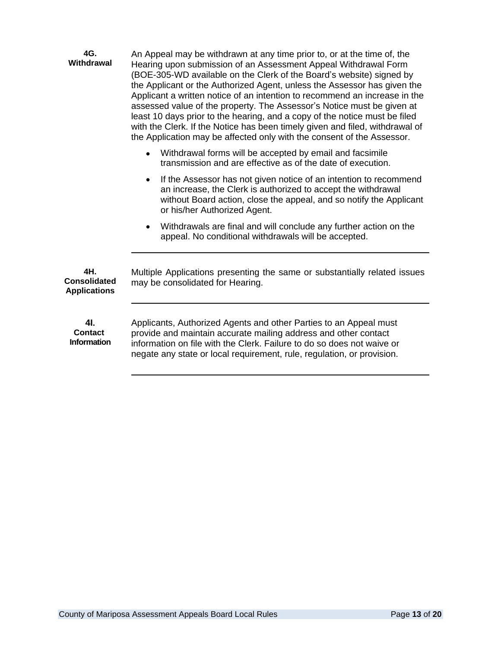| 4G.<br><b>Withdrawal</b>                          | An Appeal may be withdrawn at any time prior to, or at the time of, the<br>Hearing upon submission of an Assessment Appeal Withdrawal Form<br>(BOE-305-WD available on the Clerk of the Board's website) signed by<br>the Applicant or the Authorized Agent, unless the Assessor has given the<br>Applicant a written notice of an intention to recommend an increase in the<br>assessed value of the property. The Assessor's Notice must be given at<br>least 10 days prior to the hearing, and a copy of the notice must be filed<br>with the Clerk. If the Notice has been timely given and filed, withdrawal of<br>the Application may be affected only with the consent of the Assessor. |
|---------------------------------------------------|------------------------------------------------------------------------------------------------------------------------------------------------------------------------------------------------------------------------------------------------------------------------------------------------------------------------------------------------------------------------------------------------------------------------------------------------------------------------------------------------------------------------------------------------------------------------------------------------------------------------------------------------------------------------------------------------|
|                                                   | Withdrawal forms will be accepted by email and facsimile<br>$\bullet$<br>transmission and are effective as of the date of execution.                                                                                                                                                                                                                                                                                                                                                                                                                                                                                                                                                           |
|                                                   | If the Assessor has not given notice of an intention to recommend<br>$\bullet$<br>an increase, the Clerk is authorized to accept the withdrawal<br>without Board action, close the appeal, and so notify the Applicant<br>or his/her Authorized Agent.                                                                                                                                                                                                                                                                                                                                                                                                                                         |
|                                                   | Withdrawals are final and will conclude any further action on the<br>appeal. No conditional withdrawals will be accepted.                                                                                                                                                                                                                                                                                                                                                                                                                                                                                                                                                                      |
| 4H.<br><b>Consolidated</b><br><b>Applications</b> | Multiple Applications presenting the same or substantially related issues<br>may be consolidated for Hearing.                                                                                                                                                                                                                                                                                                                                                                                                                                                                                                                                                                                  |
| 4I.<br><b>Contact</b><br><b>Information</b>       | Applicants, Authorized Agents and other Parties to an Appeal must<br>provide and maintain accurate mailing address and other contact<br>information on file with the Clerk. Failure to do so does not waive or<br>negate any state or local requirement, rule, regulation, or provision.                                                                                                                                                                                                                                                                                                                                                                                                       |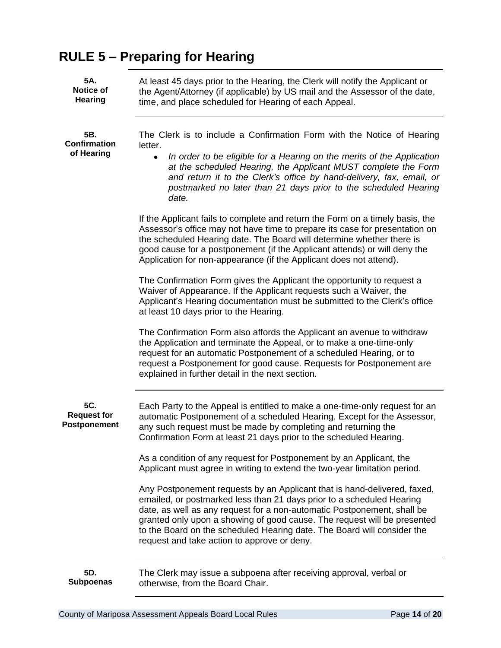# **RULE 5 – Preparing for Hearing**

| 5A.<br><b>Notice of</b><br><b>Hearing</b> | At least 45 days prior to the Hearing, the Clerk will notify the Applicant or<br>the Agent/Attorney (if applicable) by US mail and the Assessor of the date,<br>time, and place scheduled for Hearing of each Appeal.                                                                                                                                                                                                              |
|-------------------------------------------|------------------------------------------------------------------------------------------------------------------------------------------------------------------------------------------------------------------------------------------------------------------------------------------------------------------------------------------------------------------------------------------------------------------------------------|
| 5B.<br><b>Confirmation</b><br>of Hearing  | The Clerk is to include a Confirmation Form with the Notice of Hearing<br>letter.<br>In order to be eligible for a Hearing on the merits of the Application<br>$\bullet$<br>at the scheduled Hearing, the Applicant MUST complete the Form<br>and return it to the Clerk's office by hand-delivery, fax, email, or<br>postmarked no later than 21 days prior to the scheduled Hearing<br>date.                                     |
|                                           | If the Applicant fails to complete and return the Form on a timely basis, the<br>Assessor's office may not have time to prepare its case for presentation on<br>the scheduled Hearing date. The Board will determine whether there is<br>good cause for a postponement (if the Applicant attends) or will deny the<br>Application for non-appearance (if the Applicant does not attend).                                           |
|                                           | The Confirmation Form gives the Applicant the opportunity to request a<br>Waiver of Appearance. If the Applicant requests such a Waiver, the<br>Applicant's Hearing documentation must be submitted to the Clerk's office<br>at least 10 days prior to the Hearing.                                                                                                                                                                |
|                                           | The Confirmation Form also affords the Applicant an avenue to withdraw<br>the Application and terminate the Appeal, or to make a one-time-only<br>request for an automatic Postponement of a scheduled Hearing, or to<br>request a Postponement for good cause. Requests for Postponement are<br>explained in further detail in the next section.                                                                                  |
| 5C.<br><b>Request for</b><br>Postponement | Each Party to the Appeal is entitled to make a one-time-only request for an<br>automatic Postponement of a scheduled Hearing. Except for the Assessor,<br>any such request must be made by completing and returning the<br>Confirmation Form at least 21 days prior to the scheduled Hearing.                                                                                                                                      |
|                                           | As a condition of any request for Postponement by an Applicant, the<br>Applicant must agree in writing to extend the two-year limitation period.                                                                                                                                                                                                                                                                                   |
|                                           | Any Postponement requests by an Applicant that is hand-delivered, faxed,<br>emailed, or postmarked less than 21 days prior to a scheduled Hearing<br>date, as well as any request for a non-automatic Postponement, shall be<br>granted only upon a showing of good cause. The request will be presented<br>to the Board on the scheduled Hearing date. The Board will consider the<br>request and take action to approve or deny. |
| 5D.<br><b>Subpoenas</b>                   | The Clerk may issue a subpoena after receiving approval, verbal or<br>otherwise, from the Board Chair.                                                                                                                                                                                                                                                                                                                             |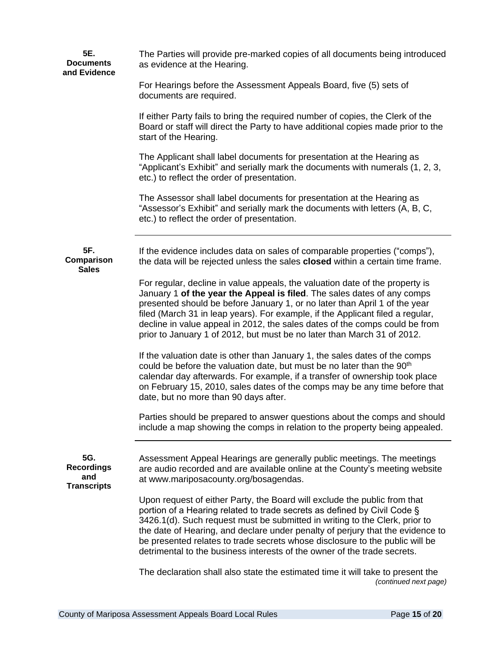| 5E.<br><b>Documents</b><br>and Evidence               | The Parties will provide pre-marked copies of all documents being introduced<br>as evidence at the Hearing.                                                                                                                                                                                                                                                                                                                                                                        |
|-------------------------------------------------------|------------------------------------------------------------------------------------------------------------------------------------------------------------------------------------------------------------------------------------------------------------------------------------------------------------------------------------------------------------------------------------------------------------------------------------------------------------------------------------|
|                                                       | For Hearings before the Assessment Appeals Board, five (5) sets of<br>documents are required.                                                                                                                                                                                                                                                                                                                                                                                      |
|                                                       | If either Party fails to bring the required number of copies, the Clerk of the<br>Board or staff will direct the Party to have additional copies made prior to the<br>start of the Hearing.                                                                                                                                                                                                                                                                                        |
|                                                       | The Applicant shall label documents for presentation at the Hearing as<br>"Applicant's Exhibit" and serially mark the documents with numerals (1, 2, 3,<br>etc.) to reflect the order of presentation.                                                                                                                                                                                                                                                                             |
|                                                       | The Assessor shall label documents for presentation at the Hearing as<br>"Assessor's Exhibit" and serially mark the documents with letters (A, B, C,<br>etc.) to reflect the order of presentation.                                                                                                                                                                                                                                                                                |
| 5F.<br>Comparison<br><b>Sales</b>                     | If the evidence includes data on sales of comparable properties ("comps"),<br>the data will be rejected unless the sales closed within a certain time frame.                                                                                                                                                                                                                                                                                                                       |
|                                                       | For regular, decline in value appeals, the valuation date of the property is<br>January 1 of the year the Appeal is filed. The sales dates of any comps<br>presented should be before January 1, or no later than April 1 of the year<br>filed (March 31 in leap years). For example, if the Applicant filed a regular,<br>decline in value appeal in 2012, the sales dates of the comps could be from<br>prior to January 1 of 2012, but must be no later than March 31 of 2012.  |
|                                                       | If the valuation date is other than January 1, the sales dates of the comps<br>could be before the valuation date, but must be no later than the 90 <sup>th</sup><br>calendar day afterwards. For example, if a transfer of ownership took place<br>on February 15, 2010, sales dates of the comps may be any time before that<br>date, but no more than 90 days after.                                                                                                            |
|                                                       | Parties should be prepared to answer questions about the comps and should<br>include a map showing the comps in relation to the property being appealed.                                                                                                                                                                                                                                                                                                                           |
| 5G.<br><b>Recordings</b><br>and<br><b>Transcripts</b> | Assessment Appeal Hearings are generally public meetings. The meetings<br>are audio recorded and are available online at the County's meeting website<br>at www.mariposacounty.org/bosagendas.                                                                                                                                                                                                                                                                                     |
|                                                       | Upon request of either Party, the Board will exclude the public from that<br>portion of a Hearing related to trade secrets as defined by Civil Code §<br>3426.1(d). Such request must be submitted in writing to the Clerk, prior to<br>the date of Hearing, and declare under penalty of perjury that the evidence to<br>be presented relates to trade secrets whose disclosure to the public will be<br>detrimental to the business interests of the owner of the trade secrets. |
|                                                       | The declaration shall also state the estimated time it will take to present the<br>(continued next page)                                                                                                                                                                                                                                                                                                                                                                           |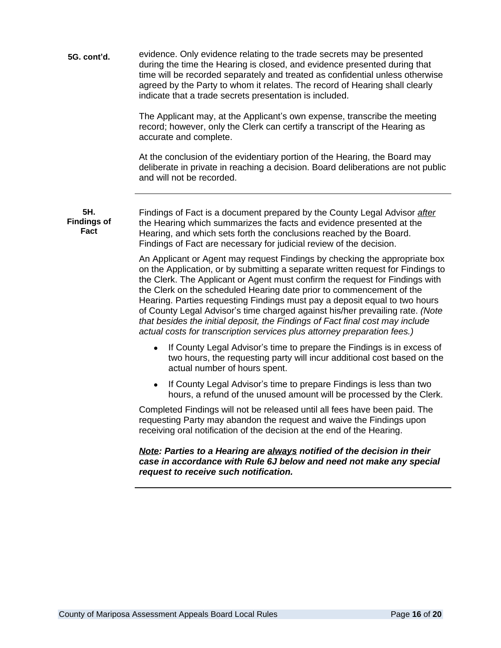| 5G. cont'd. | evidence. Only evidence relating to the trade secrets may be presented<br>during the time the Hearing is closed, and evidence presented during that<br>time will be recorded separately and treated as confidential unless otherwise<br>agreed by the Party to whom it relates. The record of Hearing shall clearly |
|-------------|---------------------------------------------------------------------------------------------------------------------------------------------------------------------------------------------------------------------------------------------------------------------------------------------------------------------|
|             | indicate that a trade secrets presentation is included.                                                                                                                                                                                                                                                             |

The Applicant may, at the Applicant's own expense, transcribe the meeting record; however, only the Clerk can certify a transcript of the Hearing as accurate and complete.

At the conclusion of the evidentiary portion of the Hearing, the Board may deliberate in private in reaching a decision. Board deliberations are not public and will not be recorded.

**5H. Findings of Fact**

Findings of Fact is a document prepared by the County Legal Advisor *after* the Hearing which summarizes the facts and evidence presented at the Hearing, and which sets forth the conclusions reached by the Board. Findings of Fact are necessary for judicial review of the decision.

An Applicant or Agent may request Findings by checking the appropriate box on the Application, or by submitting a separate written request for Findings to the Clerk. The Applicant or Agent must confirm the request for Findings with the Clerk on the scheduled Hearing date prior to commencement of the Hearing. Parties requesting Findings must pay a deposit equal to two hours of County Legal Advisor's time charged against his/her prevailing rate. *(Note that besides the initial deposit, the Findings of Fact final cost may include actual costs for transcription services plus attorney preparation fees.)* 

- If County Legal Advisor's time to prepare the Findings is in excess of two hours, the requesting party will incur additional cost based on the actual number of hours spent.
- If County Legal Advisor's time to prepare Findings is less than two hours, a refund of the unused amount will be processed by the Clerk.

Completed Findings will not be released until all fees have been paid. The requesting Party may abandon the request and waive the Findings upon receiving oral notification of the decision at the end of the Hearing.

#### *Note: Parties to a Hearing are always notified of the decision in their case in accordance with Rule 6J below and need not make any special request to receive such notification.*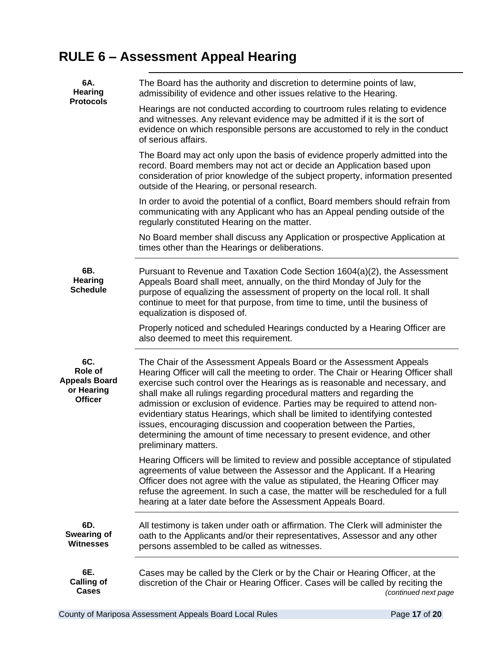# **RULE 6 – Assessment Appeal Hearing**

| 6A.<br><b>Hearing</b>                                                  | The Board has the authority and discretion to determine points of law,<br>admissibility of evidence and other issues relative to the Hearing.                                                                                                                                                                                                                                                                                                                                                                                                                                                                                                             |
|------------------------------------------------------------------------|-----------------------------------------------------------------------------------------------------------------------------------------------------------------------------------------------------------------------------------------------------------------------------------------------------------------------------------------------------------------------------------------------------------------------------------------------------------------------------------------------------------------------------------------------------------------------------------------------------------------------------------------------------------|
| <b>Protocols</b>                                                       | Hearings are not conducted according to courtroom rules relating to evidence<br>and witnesses. Any relevant evidence may be admitted if it is the sort of<br>evidence on which responsible persons are accustomed to rely in the conduct<br>of serious affairs.                                                                                                                                                                                                                                                                                                                                                                                           |
|                                                                        | The Board may act only upon the basis of evidence properly admitted into the<br>record. Board members may not act or decide an Application based upon<br>consideration of prior knowledge of the subject property, information presented<br>outside of the Hearing, or personal research.                                                                                                                                                                                                                                                                                                                                                                 |
|                                                                        | In order to avoid the potential of a conflict, Board members should refrain from<br>communicating with any Applicant who has an Appeal pending outside of the<br>regularly constituted Hearing on the matter.                                                                                                                                                                                                                                                                                                                                                                                                                                             |
|                                                                        | No Board member shall discuss any Application or prospective Application at<br>times other than the Hearings or deliberations.                                                                                                                                                                                                                                                                                                                                                                                                                                                                                                                            |
| 6B.<br><b>Hearing</b><br><b>Schedule</b>                               | Pursuant to Revenue and Taxation Code Section 1604(a)(2), the Assessment<br>Appeals Board shall meet, annually, on the third Monday of July for the<br>purpose of equalizing the assessment of property on the local roll. It shall<br>continue to meet for that purpose, from time to time, until the business of<br>equalization is disposed of.                                                                                                                                                                                                                                                                                                        |
|                                                                        | Properly noticed and scheduled Hearings conducted by a Hearing Officer are<br>also deemed to meet this requirement.                                                                                                                                                                                                                                                                                                                                                                                                                                                                                                                                       |
| 6C.<br>Role of<br><b>Appeals Board</b><br>or Hearing<br><b>Officer</b> | The Chair of the Assessment Appeals Board or the Assessment Appeals<br>Hearing Officer will call the meeting to order. The Chair or Hearing Officer shall<br>exercise such control over the Hearings as is reasonable and necessary, and<br>shall make all rulings regarding procedural matters and regarding the<br>admission or exclusion of evidence. Parties may be required to attend non-<br>evidentiary status Hearings, which shall be limited to identifying contested<br>issues, encouraging discussion and cooperation between the Parties,<br>determining the amount of time necessary to present evidence, and other<br>preliminary matters. |
|                                                                        | Hearing Officers will be limited to review and possible acceptance of stipulated<br>agreements of value between the Assessor and the Applicant. If a Hearing<br>Officer does not agree with the value as stipulated, the Hearing Officer may<br>refuse the agreement. In such a case, the matter will be rescheduled for a full<br>hearing at a later date before the Assessment Appeals Board.                                                                                                                                                                                                                                                           |
| 6D.<br>Swearing of<br><b>Witnesses</b>                                 | All testimony is taken under oath or affirmation. The Clerk will administer the<br>oath to the Applicants and/or their representatives, Assessor and any other<br>persons assembled to be called as witnesses.                                                                                                                                                                                                                                                                                                                                                                                                                                            |
| 6E.<br><b>Calling of</b><br><b>Cases</b>                               | Cases may be called by the Clerk or by the Chair or Hearing Officer, at the<br>discretion of the Chair or Hearing Officer. Cases will be called by reciting the<br>(continued next page                                                                                                                                                                                                                                                                                                                                                                                                                                                                   |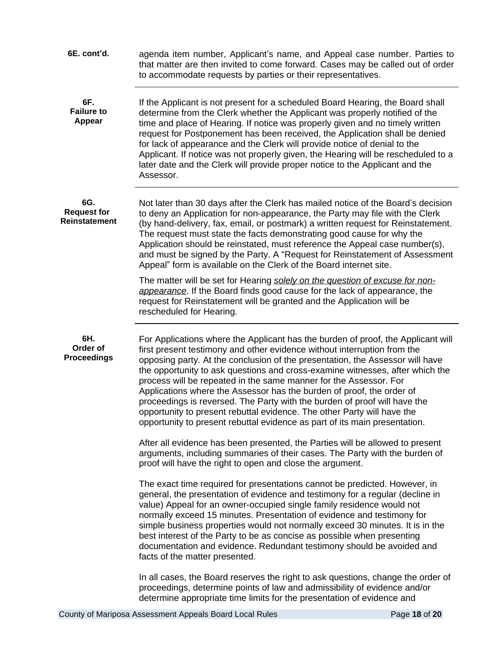| 6E. cont'd.                                | agenda item number, Applicant's name, and Appeal case number. Parties to<br>that matter are then invited to come forward. Cases may be called out of order<br>to accommodate requests by parties or their representatives.                                                                                                                                                                                                                                                                                                                                                                                                                                                                                         |
|--------------------------------------------|--------------------------------------------------------------------------------------------------------------------------------------------------------------------------------------------------------------------------------------------------------------------------------------------------------------------------------------------------------------------------------------------------------------------------------------------------------------------------------------------------------------------------------------------------------------------------------------------------------------------------------------------------------------------------------------------------------------------|
| 6F.<br><b>Failure to</b><br><b>Appear</b>  | If the Applicant is not present for a scheduled Board Hearing, the Board shall<br>determine from the Clerk whether the Applicant was properly notified of the<br>time and place of Hearing. If notice was properly given and no timely written<br>request for Postponement has been received, the Application shall be denied<br>for lack of appearance and the Clerk will provide notice of denial to the<br>Applicant. If notice was not properly given, the Hearing will be rescheduled to a<br>later date and the Clerk will provide proper notice to the Applicant and the<br>Assessor.                                                                                                                       |
| 6G.<br><b>Request for</b><br>Reinstatement | Not later than 30 days after the Clerk has mailed notice of the Board's decision<br>to deny an Application for non-appearance, the Party may file with the Clerk<br>(by hand-delivery, fax, email, or postmark) a written request for Reinstatement.<br>The request must state the facts demonstrating good cause for why the<br>Application should be reinstated, must reference the Appeal case number(s),<br>and must be signed by the Party. A "Request for Reinstatement of Assessment<br>Appeal" form is available on the Clerk of the Board internet site.                                                                                                                                                  |
|                                            | The matter will be set for Hearing solely on the question of excuse for non-<br>appearance. If the Board finds good cause for the lack of appearance, the<br>request for Reinstatement will be granted and the Application will be<br>rescheduled for Hearing.                                                                                                                                                                                                                                                                                                                                                                                                                                                     |
| 6H.<br>Order of<br><b>Proceedings</b>      | For Applications where the Applicant has the burden of proof, the Applicant will<br>first present testimony and other evidence without interruption from the<br>opposing party. At the conclusion of the presentation, the Assessor will have<br>the opportunity to ask questions and cross-examine witnesses, after which the<br>process will be repeated in the same manner for the Assessor. For<br>Applications where the Assessor has the burden of proof, the order of<br>proceedings is reversed. The Party with the burden of proof will have the<br>opportunity to present rebuttal evidence. The other Party will have the<br>opportunity to present rebuttal evidence as part of its main presentation. |
|                                            | After all evidence has been presented, the Parties will be allowed to present<br>arguments, including summaries of their cases. The Party with the burden of<br>proof will have the right to open and close the argument.                                                                                                                                                                                                                                                                                                                                                                                                                                                                                          |
|                                            | The exact time required for presentations cannot be predicted. However, in<br>general, the presentation of evidence and testimony for a regular (decline in<br>value) Appeal for an owner-occupied single family residence would not<br>normally exceed 15 minutes. Presentation of evidence and testimony for<br>simple business properties would not normally exceed 30 minutes. It is in the<br>best interest of the Party to be as concise as possible when presenting<br>documentation and evidence. Redundant testimony should be avoided and<br>facts of the matter presented.                                                                                                                              |
|                                            | In all cases, the Board reserves the right to ask questions, change the order of<br>proceedings, determine points of law and admissibility of evidence and/or<br>determine appropriate time limits for the presentation of evidence and                                                                                                                                                                                                                                                                                                                                                                                                                                                                            |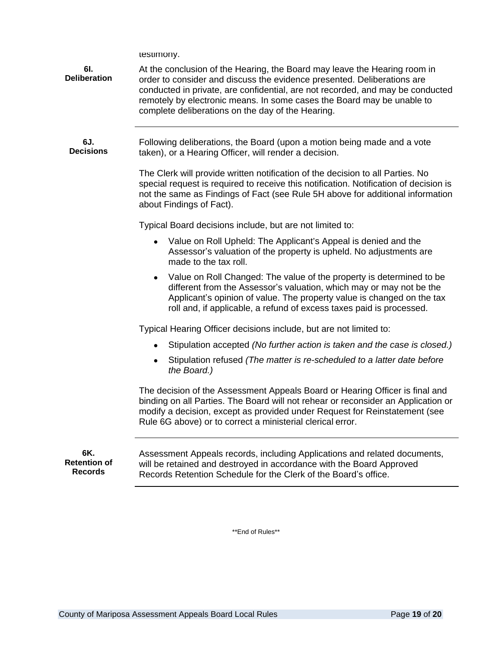testimony.

| 6I.<br><b>Deliberation</b>                   | At the conclusion of the Hearing, the Board may leave the Hearing room in<br>order to consider and discuss the evidence presented. Deliberations are<br>conducted in private, are confidential, are not recorded, and may be conducted<br>remotely by electronic means. In some cases the Board may be unable to<br>complete deliberations on the day of the Hearing. |
|----------------------------------------------|-----------------------------------------------------------------------------------------------------------------------------------------------------------------------------------------------------------------------------------------------------------------------------------------------------------------------------------------------------------------------|
| 6J.<br><b>Decisions</b>                      | Following deliberations, the Board (upon a motion being made and a vote<br>taken), or a Hearing Officer, will render a decision.<br>The Clerk will provide written notification of the decision to all Parties. No                                                                                                                                                    |
|                                              | special request is required to receive this notification. Notification of decision is<br>not the same as Findings of Fact (see Rule 5H above for additional information<br>about Findings of Fact).                                                                                                                                                                   |
|                                              | Typical Board decisions include, but are not limited to:                                                                                                                                                                                                                                                                                                              |
|                                              | Value on Roll Upheld: The Applicant's Appeal is denied and the<br>$\bullet$<br>Assessor's valuation of the property is upheld. No adjustments are<br>made to the tax roll.                                                                                                                                                                                            |
|                                              | Value on Roll Changed: The value of the property is determined to be<br>$\bullet$<br>different from the Assessor's valuation, which may or may not be the<br>Applicant's opinion of value. The property value is changed on the tax<br>roll and, if applicable, a refund of excess taxes paid is processed.                                                           |
|                                              | Typical Hearing Officer decisions include, but are not limited to:                                                                                                                                                                                                                                                                                                    |
|                                              | Stipulation accepted (No further action is taken and the case is closed.)<br>$\bullet$                                                                                                                                                                                                                                                                                |
|                                              | Stipulation refused (The matter is re-scheduled to a latter date before<br>$\bullet$<br>the Board.)                                                                                                                                                                                                                                                                   |
|                                              | The decision of the Assessment Appeals Board or Hearing Officer is final and<br>binding on all Parties. The Board will not rehear or reconsider an Application or<br>modify a decision, except as provided under Request for Reinstatement (see<br>Rule 6G above) or to correct a ministerial clerical error.                                                         |
| 6K.<br><b>Retention of</b><br><b>Records</b> | Assessment Appeals records, including Applications and related documents,<br>will be retained and destroyed in accordance with the Board Approved<br>Records Retention Schedule for the Clerk of the Board's office.                                                                                                                                                  |

\*\*End of Rules\*\*